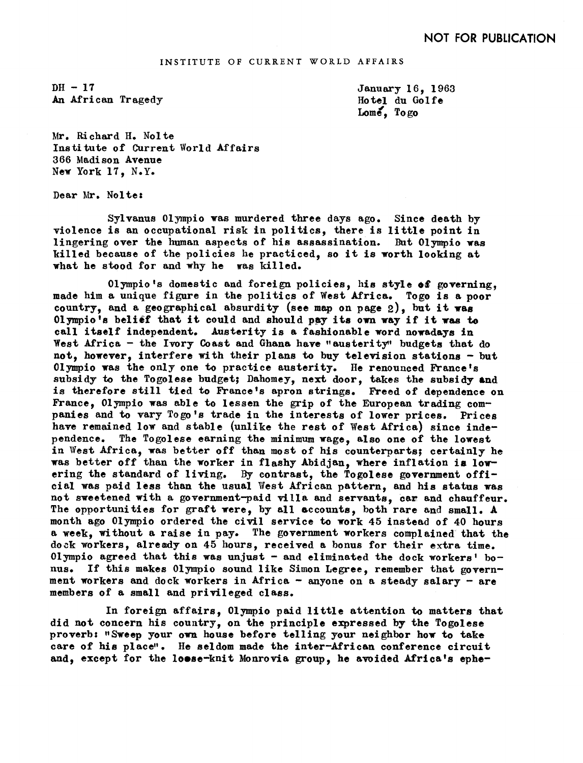$DH-17$ An African Tragedy January 16, 1968 Hotel du Golfe Lome, Togo

Mr. Richard H. Nolte Institute of Current World Affairs 366 Madison Avenue New York 17, N.Y.

Dear Mr. Nolte:

Sylvanus Olympio was murdered three days ago. Since death by violence is an occupational risk in politics, there is little point in lingering over the human aspects of his assassination. But 01ympio was killed because of the policies he practiced, so it is worth looking at what he stood for and why he was killed.

Olympio's domestic and foreign policies, his style of governing. made him a unique figure in the politics of West Africa. Togo is a poor country, and a geographical absurdity (see map on page  $2$ ), but it was 01ympio's belief that it could and should pay its own way if it was to call itself independent. Austerity is a fashionable word nowadays in West Africa - the Ivory Coast and Ghana have "austerity" budgets that do not, however, interfere with their plans to buy television stations- but 01ympio as the only one to practice austerity. He renounced France's subsidy to the Togolese budget; Dahomey, next door, takes the subsidy and is therefore still tied to France's apron strings. Freed of dependence on France, 01ympio was able to lessen the grip of the European trading companies and to vary Togo's trade in the interests of lower prices. Prices have remained low and stable (unlike the rest of West Africa) since independence. The Togolese earning the minimum wage, also one of the lowest in West Africa, was better off than most of his counterparts; certainly he was better off than the worker in flashy Abidjan, where inflation ia lowering the standard of living. By contrast, the Togolese government official was paid less than the usual West African pattern, and his status was not sweetened with a government-paid villa and servants, car and chauffeur. The opportunities for graft were, by all accounts, both rare and small. A month ago 01ympio ordered the civil service to work 45 instead of 40 hours a week, without a raise in pay. The government workers Complained that the dock workers, already on 45 hours, received a bonus for their extra time. 01ympio agreed that this was unjust- and eliminated the dock workers' bonus. If this makes 01ympio sound like Simon Legree, remember that government workers and dock workers in Africa  $-$  anyone on a steady salary  $-$  are members of a small and privileged class.

In foreign affairs, 01ympio paid little attention to matters that did not concern his country, on the principle expressed by the Togolese proverb: "Sweep your own house before telling your neighbor how to take care of his place". He seldom made the inter-African conference circuit and, except for the loose-knit Monrovia group, he avoided Africa's ephe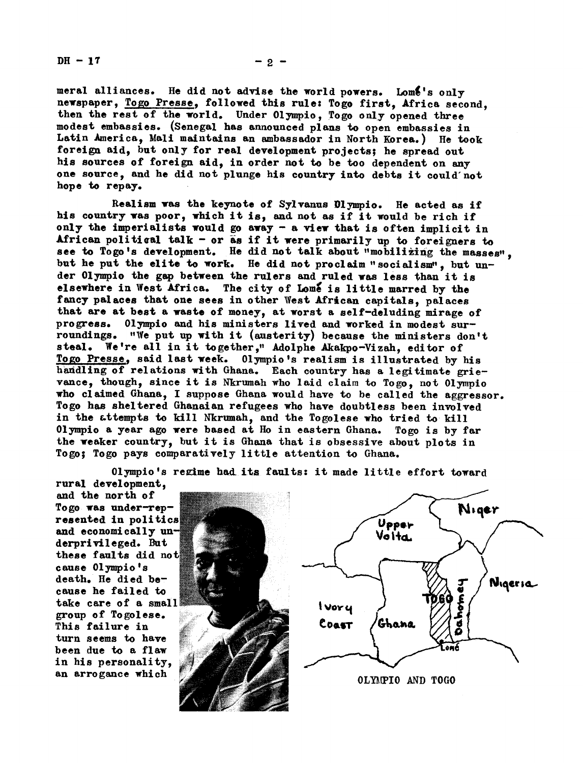$DH - 17$  - 2 -

meral alliances. He did not advise the world powers. Lome's only newspaper, Togo Presse, followed this rule: Togo first, Africa second. then the rest of the world. Under 01ympio, Togo only opened three modest embassies. (Senegal has announced plans to open embassies in Latin America, Mali maintains an ambassador in North Korea.) He took foreign aid, but only for real development projects; he spread out his sources of foreign aid, in order not to be too dependent on any one source, and he did not plunge his country into debts it could'not hope to repay.

Realism was the keynote of Sylvanus Dlympio. He acted as if his country was poor, which it is, and not as if it would be rich if only the imperialists would go away- a view that is often implicit in African political talk - or as if it were primarily up to foreigners to see to Togo's development. He did not talk about "mobilizing the masses". but he put the elite to work. He did not proclaim "socialism", but under Olympio the gap between the rulers and ruled was less than it is elsewhere in West Africa. The city of Lome is little marred by the fancy palaces that one sees in other West African capitals, palaces that are at best a waste of money, at worst a self-deluding mirage of progress. 01ympio and his ministers lived and worked in modest surroundings. "We put up with it (austerity) because the ministers don't steal. We're all in it together," Adolphe Akakpo-Vizah, editor of Togo Presse, said last week. Olympio's realism is illustrated by his handling of relations with Ghana. Each country has a legitimate grievance, though, since it is Nkrumah who laid claim to Togo, not 01ympio who claimed Ghana, I suppose Ghana would have to be called the aggressor. Togo hs sheltered Ghanaian refugees who have doubtless been involved in the attempts to kill Nkrumah, and the Togolese who tried to. kill 01ympio a year ago were based at Ho in eastern Ghana. Togo is by far the weaker country, but it is Ghana that is obsessive about plots in Togo; Togo pays comparatively little attention to Ghana.

Niger Upper Voita Nigeria *I* vory Ghana COAST an arrogance which  $\sqrt{2}$  OLYMPIO AND TOGO

01ympio's regime had its faults: it made little effort toward

rural development,<br>and the north of To go was under-represented in politics and economically  $un$ derprivileged. But these faults did not cause Olympio's death. He died because he failed to take care of a small group of Togolese. This failure in turn seems to have been due to a flaw in his personality,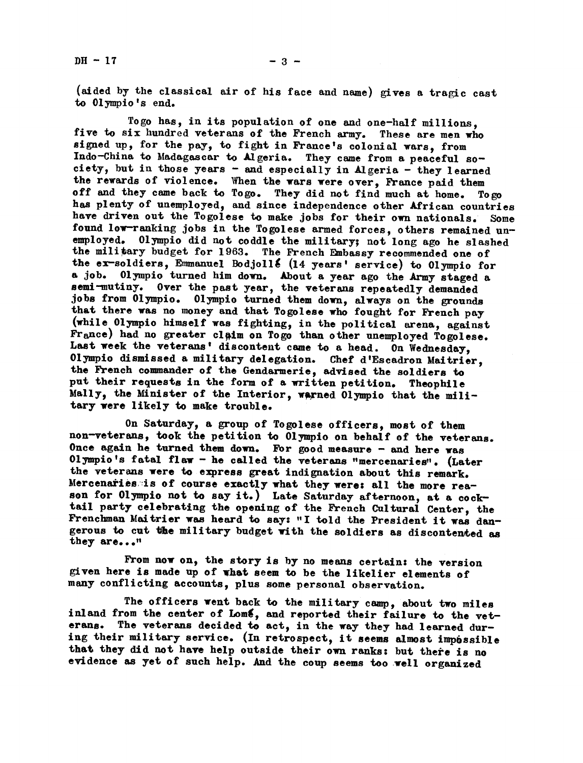$DH - 17$  - 3 -

(aided by the classical air of his face and name) gives a tragic cast to Olympic's end.

Togo has, in its population of one and one-half millions,<br>five to six hundred veterans of the French army. These are men who signed up, for the pay, to fight in France's colonial wars, from Indo-China to Madagascar to Algeria. They came from a peaceful society, but in those years - and especially in Algeria - they learned the rewards of violence. When the wars were over, France paid them off and they came back to Togo. They did not find much at home. Togo off and they came back to Togo. They did not find much at home. has plenty of unemployed, and since independence other African countries have driven out the Togolese to make jobs for their own nationals. Some found low-ranking jobs in the Togolese armed forces, others remained unemployed. Olympio did not coddle the military; not long ago he slashed the military budget for 1963. The French Embassy recommended one of the ex-soldiers, Emmanuel Bodjoll& (14 years' service) to Olympio for a job. 01ympio turned him down. About a year ago the Army staged a semi-mutiny. Over the past year, the veterans repeatedly demanded jobs from 01ympio. Olympio turned them down, always on the grounds that there was no money and that Togolese who fought for French pay (while Olympio himself was fighting, in the political arena, against France) had no greater claim on Togo than other unemployed Togolese. Last week the veterans' discontent came to a head. On Wednesday, Olympio dismissed a military delegation. Chef d'Escadron Maitrier, the French commander of the Gendarmerie, advised the soldiers to put their requests in the form of a written petition. Theophtle Mally, the Minister of the Interior, warned Olympio that the military were likely to make trouble.

On Saturday, a group of Togolese officers, most of them non-veterans, took the petition to Olympio on behalf of the veterans. Once again he turned them down. For good measure  $-$  and here was Olympio's fatal flaw - he called the veterans "mercenaries". (Later the veterans were to express great indignation about this remark. Mercenaries is of course exactly what they were: all the more reason for Olympio not to say it.) Late Saturday afternoon, at a cocktail party celebrating the opening of the French Cultural Center, the Frenchman Maitrier was heard to say: "I told the President it was dangerous to cut the military budget with the soldiers as discontented as they are..."

From now on, the story is by no means certain: the version given here is mde up of what seem to be the likelier elements of many conflicting accounts, plus some personal observation.

The officers went back to the military camp, about two miles inland from the center of Lome, and reported their failure to the veterans. The veterans decided to act, in the way they had learned during their military service. (In retrospect, it seems almost impbssible that they did not have help outside their own ranks: but there is no evidence as yet of such help. And the coup seems too well organized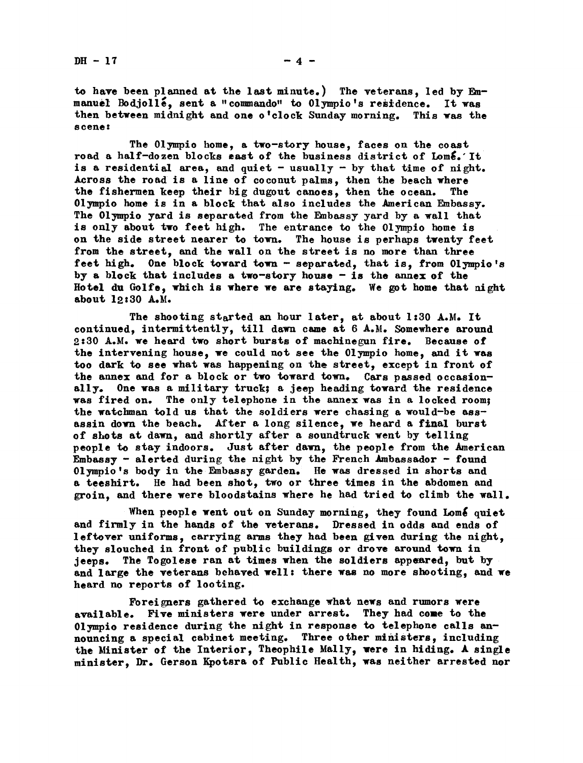to have been planned at the last minute.) The veterans, led by Emmanuel Bodjolle, sent a "commando" to Olympio's residence. It was then between midnight and one o'clock Sunday morning. This was the s cene:

The Olympio home, a two-story house, faces on the coast road a half-dozen blocks east of the business district of Lome. It is a residential area, and quiet  $-$  usually  $-$  by that time of night. Across the road is a line of coconut palms, then the beach where the fishermen keep their big dugout canoes, then the ocean. The 01ympio home is in a block that also includes the American Embassy. The 01ympio yard is separated from the Embassy yard by a wall that is only about two feet high. The entrance to the 01ympio home is on the side street nearer to town. The house is perhaps twenty feet from the street, and the wall on the street is no more than three feet high. One block toward town - separated, that is, from Olympio's by a block that includes a two-story house - is the annex of the Hotel du Golfe, which is where we are staying. We got home that night about 12:30 A.M.

The shooting started an hour later, at about 1:30 A.M. It continued, intermittently, till dawn came at  $6$  A.M. Somewhere around 2.'30 A.M. we heard two short bursts of machinegun fire. Because of the intervening house, we could not see the 01ympio home, and it was too dark to see what was happening on the street, except in front of the annex and for a block or two toward town. Cars passed occasionally. One was a military truck; a jeep heading toward the residence was fired on. The only telephone in the annex was in a locked room; the watchman told us that the soldiers were chasing a would-be assassin down the beach. After a long silence, we heard a final burst of shots at dawa and shortly after a soundtruck went by telling people to stay indoors. Just after dawn, the people from the American Embassy - alerted during the night by the French Ambassador  $-$  found 01 ympio's body in the Embassy garden. He was dressed in shorts and a teeshirt. He had been shot, two or three times in the abdomen and groin, and there were bloodstains where he had tried to climb the wall.

When people went out on Sunday morning, they found Lomé quiet and firmly in the hands of the veterans. Dressed in odds and ends of leftover uniforms, carrying arms they had been given during the night, they slouched in front of public buildings or drove around town in jeeps. The Togolese ran at times when the soldiers appeared, but by and large the veterans behaved well: there was no more shooting, and we heard no reports of looting.

Foreigners gathered to exchange what news and rumors were available. Five ministers were under arrest. They had come to the 01ympio residence during the night in response to telephone calls announcing a special cabinet meeting. Three other ministers, including the Minister of the Interior, Theophile Mally, were in hiding. A single minister, Dr. Gerson Kpotsra of Public Health, was neither arrested nor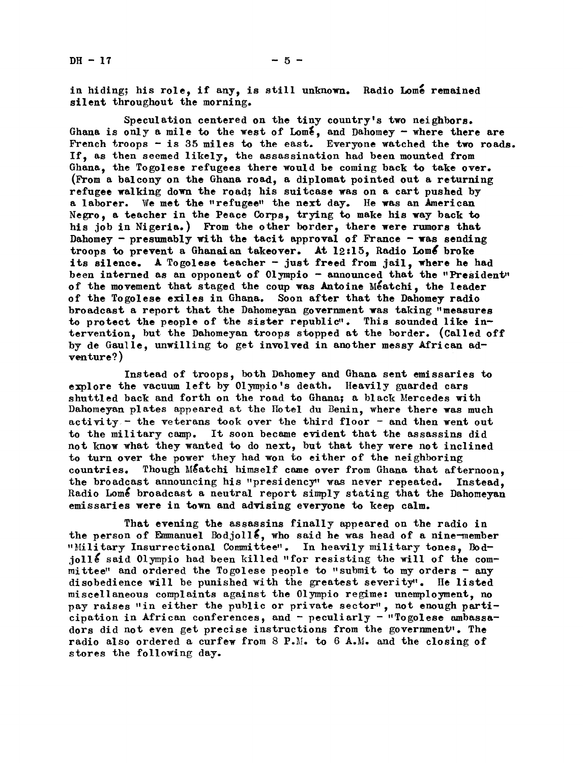in hiding; his role, if any, is still unknown. Radio Lome remained silent throughout the morning.

Speculation centered on the tiny country's two neighbors. Ghana is only a mile to the west of Lom $\mathbf{\xi}$ , and Dahomey - where there are French troops  $-$  is 35 miles to the east. Everyone watched the two roads. If, as then seemed likely, the assassination had been mounted from Ghana, the Togolese refugees there would be coming back to take over. (From a balcony on the Ghana road, a diplomat pointed out a returning refugee walking down the road; his suitcase was on a cart pushed by a laborer. We met the "refugee" the next day. He was an American Negro, a teacher in the Peace Corps, trying to make his way back to his job in Nigeria.) From the other border, there were rumors that Dahomey - presumably with the tacit approval of France - was sending troops to prevent a Ghanaian takeover. At  $12:15$ , Radio Lomé broke its silence. A Togolese teacher - just freed from jail, where he had been interned as an opponent of 01ympio - announced that the "President" of the movement that staged the coup was Antoine Meatchi, the leader of the Togolese exiles in Ghana. Soon after that the Dahomey radio broadcast a report that the Dahomeyan government was taking "measures to protect the people of the sister republic". This sounded like intervention, but the Dahomeyan troops stopped at the border. (Called off by de Gaulle, unwilling to get involved in another messy African adventure? )

Instead of troops, both Dahomey and Ghana sent emissaries to explore the vacuum left by Olympio's death. Heavily guarded cars shuttled back and forth on the road to Ghana; a black Mercedes with Dahomeyan plates appeared at the Hotel du Benin, where there was much activity. - the veterans took over the third floor - and then went out to the military camp. It soon became evident that the assassins did not know what they wanted to do next, but that they were not inclined to turn over the power they had won to either of the neighboring countries. Though Meatchi himself came over from Ghana that afternoon. the broadcast announcing his "presidency" was never repeated. Instead. Radio Lome broadcast a neutral report simply stating that the Dahomeyan emissaries were in town and advising everyone to keep calm.

That evening the assassins finally appeared on the radio in the person of Emmanuel Bodjoll<sup>2</sup>, who said he was head of a nine-member "Military Insurrectional Committee". In heavily military tones, Bodjoll  $\epsilon$  said 01ympio had been killed "for resisting the will of the committee" and ordered the Togolese people to "submit to my orders  $-$  any disobedience will be punished with the greatest severity'. He listed miscellaneous complaints against he 01ympio regime: unemployment, no pay raises "in either the public or private sector", not enough participation in African conferences, and - peculiarly - "Togolese ambassadors did not even get precise instructions from the government". The radio also ordered a curfew from 8 P.I. to 6 A.I. and the closing of stores the following day.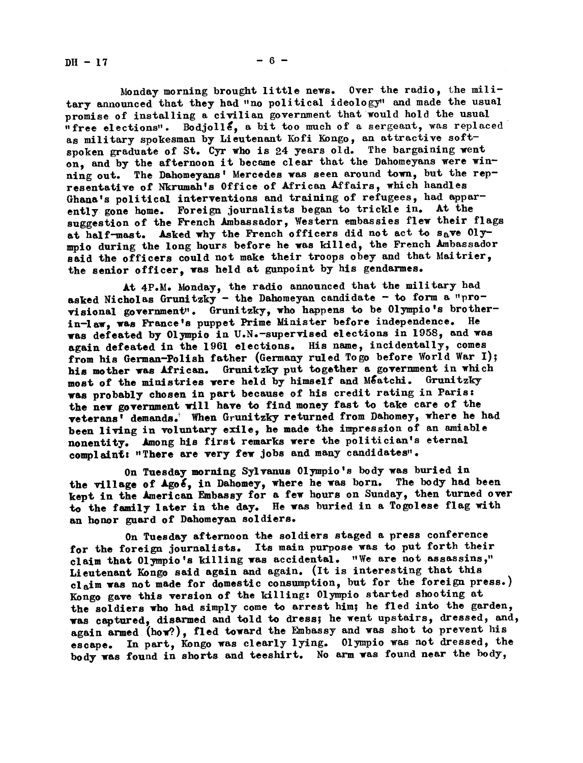DH- 17

Honday morning brought little news. Over the radio, the military announced that they had "no political ideology" and made the usual promise of installing a civilian government that would hold the usual  $n$  free elections". Bodjolls, a bit too much of a sergeant, was replaced as military spokesman by Lieutenant Kofi Kongo, an attractive softspoken graduate of St. Cyr who is 24 years old. The bargaining went on, and by the afternoon it became clear that the Dahomeyans were winning out. The Dahomeyans' Mercedes was seen around town, but the representative of Nkrumah's Office of African Affairs, which handles Ghana's political interventions and training of refugees, had apparently gone home. Foreign journalists began to trickle in. At the suggestion of the French Ambassador, Western embassies flew their flags at half-mast. Asked why the French officers did not act to save  $01y$ mpio during the long hours before he was killed, the French Ambassador said the officers could not make their troops obey and that Maitrier, the senior officer, was held at gunpoint by his gendarmes.

At 4P.M. Monday, the radio announced that the military had asked Nicholas Grunitzky - the Dahomeyan candidate - to form a "provisional government". Grunitzky, who happens to be Olympio's brotherin-law was France's puppet Prime Minister before independence. He was defeated by 01ympio in U.N.-supervised elections in 1958, and was again defeated in the 1961 elections. His name, incidentally, comes from his German-Polish father (Germany ruled Togo before World War I); his mother was African. Grunitzky put together a government in which most of the ministries were held by himself and Méatchi. Grunitzky was probably chosen in part because of his credit rating in Paris the new government will have to find money fast to take care of the veterans<sup>7</sup> demands. When Grunitzky returned from Dahomey, where he had been living in voluntary exile, he made the impression of an amiable nonentity. Among his first remarks were the politician's eternal complaint: "There are very few jobs and many candidates".

On Tuesday morning Sylvanus Olympio's body was buried in the village of Agoe, in Dahomey, where he was born. The body had been kept in the American Embassy for a few hours on Sunday, then turned over to the family later in the day. He was buried in a Togolese flag with an honor guard of Dahomeyan soldiers.

On Tuesday afternoon the soldiers staged a press conference for the foreign journalists. Its main purpose was to put forth their claim that  $01$ ympio's killing was accidental. "We are not assassins," Lieutenant Kongo said again and again. (It is interesting that this claim was not made for domestic consumption, but for the foreign press.) Kongo gave this version of the killing: Olympio started shooting at the soldiers who had simply come to arrest him; he fled into the garden, was captured, disarmed and told to dress; he went upstairs, dressed, and, again armed (how?), fled toward the Embassy and was shot to prevent his escape. In part, Kongo was clearly lying. Olympio was not dressed, the body was found in shorts and teeshirt. No arm was found near the body,